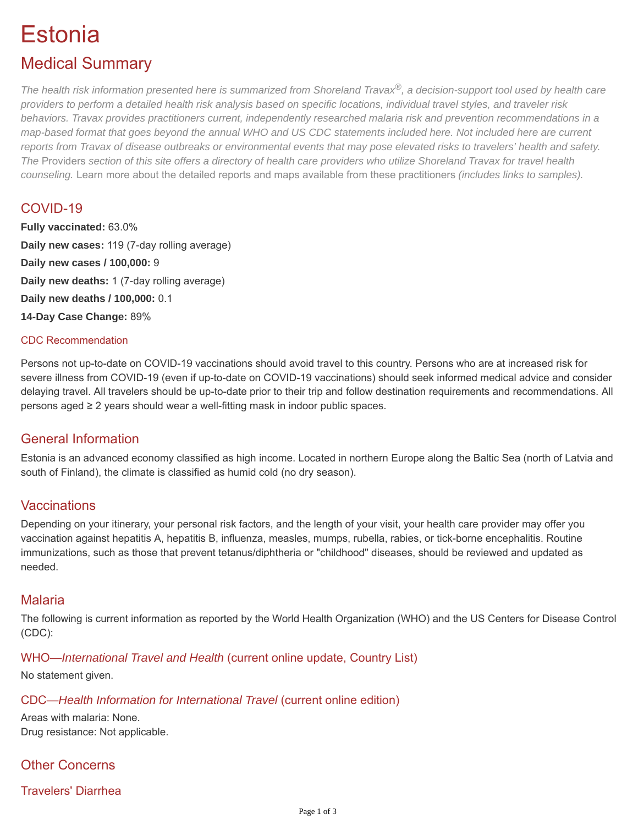# Estonia

# Medical Summary

*The health risk information presented here is summarized from Shoreland Travax®, a decision-support tool used by health care providers to perform a detailed health risk analysis based on specific locations, individual travel styles, and traveler risk behaviors. Travax provides practitioners current, independently researched malaria risk and prevention recommendations in a map-based format that goes beyond the annual WHO and US CDC statements included here. Not included here are current reports from Travax of disease outbreaks or environmental events that may pose elevated risks to travelers' health and safety. The* [Providers](https://tripprep.com/providers) *section of this site offers a directory of health care providers who utilize Shoreland Travax for travel health counseling.* [Learn more about the detailed reports and maps available from these practitioners](http://www.shoreland.com/services/travax/destination-information) *(includes links to samples).*

# COVID-19

**Fully vaccinated:** 63.0% **Daily new cases:** 119 (7-day rolling average) **Daily new cases / 100,000:** 9 **Daily new deaths:** 1 (7-day rolling average) **Daily new deaths / 100,000:** 0.1 **14-Day Case Change:** 89%

#### CDC Recommendation

Persons not up-to-date on COVID-19 vaccinations should avoid travel to this country. Persons who are at increased risk for severe illness from COVID-19 (even if up-to-date on COVID-19 vaccinations) should seek informed medical advice and consider delaying travel. All travelers should be up-to-date prior to their trip and follow destination requirements and recommendations. All persons aged ≥ 2 years should wear a well-fitting mask in indoor public spaces.

# General Information

Estonia is an advanced economy classified as high income. Located in northern Europe along the Baltic Sea (north of Latvia and south of Finland), the climate is classified as humid cold (no dry season).

# **Vaccinations**

Depending on your itinerary, your personal risk factors, and the length of your visit, your health care provider may offer you vaccination against hepatitis A, hepatitis B, influenza, measles, mumps, rubella, rabies, or tick-borne encephalitis. Routine immunizations, such as those that prevent tetanus/diphtheria or "childhood" diseases, should be reviewed and updated as needed.

# Malaria

The following is current information as reported by the World Health Organization (WHO) and the US Centers for Disease Control (CDC):

# WHO—*International Travel and Health* (current online update, Country List)

No statement given.

#### CDC—*Health Information for International Travel* (current online edition)

Areas with malaria: None. Drug resistance: Not applicable.

# Other Concerns

# Travelers' Diarrhea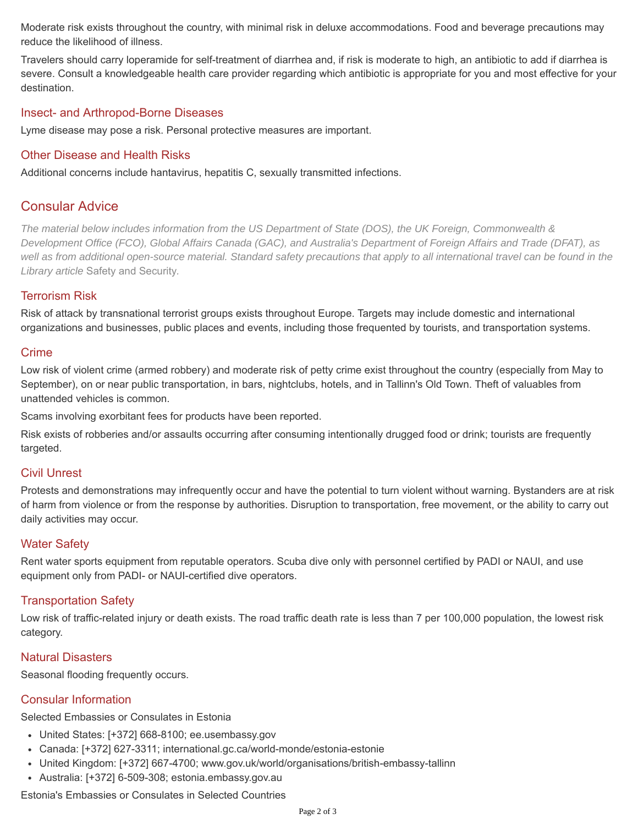Moderate risk exists throughout the country, with minimal risk in deluxe accommodations. [Food and beverage precautions](https://tripprep.com/library/travelers-diarrhea#prevention) may reduce the likelihood of illness.

Travelers should carry loperamide for self-treatment of diarrhea and, if risk is moderate to high, an antibiotic to add if diarrhea is severe. Consult a knowledgeable health care provider regarding which antibiotic is appropriate for you and most effective for your destination.

#### Insect- and Arthropod-Borne Diseases

Lyme disease may pose a risk. Personal protective measures are important.

# Other Disease and Health Risks

Additional concerns include hantavirus, hepatitis C, sexually transmitted infections.

# Consular Advice

*The material below includes information from the US Department of State (DOS), the UK Foreign, Commonwealth & Development Office (FCO), Global Affairs Canada (GAC), and Australia's Department of Foreign Affairs and Trade (DFAT), as well as from additional open-source material. Standard safety precautions that apply to all international travel can be found in the Library article* [Safety and Security](https://tripprep.com/library/safety-and-security)*.*

# Terrorism Risk

Risk of attack by transnational terrorist groups exists throughout Europe. Targets may include domestic and international organizations and businesses, public places and events, including those frequented by tourists, and transportation systems.

#### Crime

Low risk of violent crime (armed robbery) and moderate risk of petty crime exist throughout the country (especially from May to September), on or near public transportation, in bars, nightclubs, hotels, and in Tallinn's Old Town. Theft of valuables from unattended vehicles is common.

Scams involving exorbitant fees for products have been reported.

Risk exists of robberies and/or assaults occurring after consuming intentionally drugged food or drink; tourists are frequently targeted.

#### Civil Unrest

Protests and demonstrations may infrequently occur and have the potential to turn violent without warning. Bystanders are at risk of harm from violence or from the response by authorities. Disruption to transportation, free movement, or the ability to carry out daily activities may occur.

# Water Safety

Rent water sports equipment from reputable operators. Scuba dive only with personnel certified by PADI or NAUI, and use equipment only from PADI- or NAUI-certified dive operators.

#### Transportation Safety

Low risk of traffic-related injury or death exists. The road traffic death rate is less than 7 per 100,000 population, the lowest risk category.

#### Natural Disasters

Seasonal flooding frequently occurs.

# Consular Information

Selected Embassies or Consulates in Estonia

- United States: [+372] 668-8100; ee.usembassy.gov
- Canada: [+372] 627-3311; international.gc.ca/world-monde/estonia-estonie
- United Kingdom: [+372] 667-4700; www.gov.uk/world/organisations/british-embassy-tallinn
- Australia: [+372] 6-509-308; estonia.embassy.gov.au

Estonia's Embassies or Consulates in Selected Countries